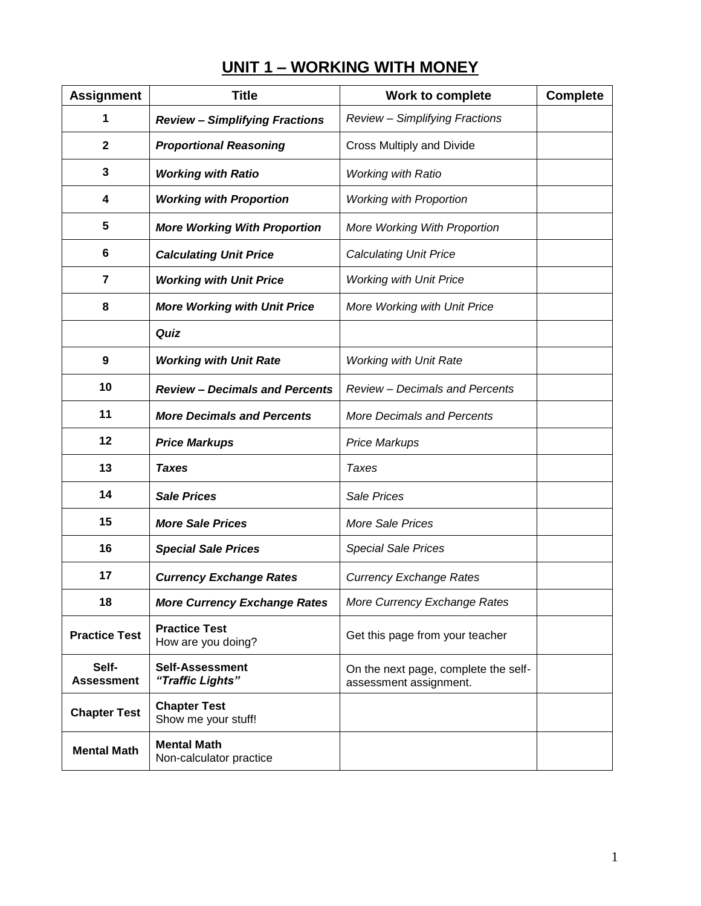| <b>Assignment</b>          | <b>Title</b>                                  | <b>Work to complete</b>                                        | <b>Complete</b> |
|----------------------------|-----------------------------------------------|----------------------------------------------------------------|-----------------|
| 1                          | <b>Review - Simplifying Fractions</b>         | <b>Review - Simplifying Fractions</b>                          |                 |
| $\mathbf{2}$               | <b>Proportional Reasoning</b>                 | Cross Multiply and Divide                                      |                 |
| 3                          | <b>Working with Ratio</b>                     | <b>Working with Ratio</b>                                      |                 |
| 4                          | <b>Working with Proportion</b>                | <b>Working with Proportion</b>                                 |                 |
| 5                          | <b>More Working With Proportion</b>           | More Working With Proportion                                   |                 |
| 6                          | <b>Calculating Unit Price</b>                 | <b>Calculating Unit Price</b>                                  |                 |
| 7                          | <b>Working with Unit Price</b>                | <b>Working with Unit Price</b>                                 |                 |
| 8                          | <b>More Working with Unit Price</b>           | More Working with Unit Price                                   |                 |
|                            | Quiz                                          |                                                                |                 |
| 9                          | <b>Working with Unit Rate</b>                 | <b>Working with Unit Rate</b>                                  |                 |
| 10                         | <b>Review - Decimals and Percents</b>         | <b>Review - Decimals and Percents</b>                          |                 |
| 11                         | <b>More Decimals and Percents</b>             | <b>More Decimals and Percents</b>                              |                 |
| 12                         | <b>Price Markups</b>                          | <b>Price Markups</b>                                           |                 |
| 13                         | <b>Taxes</b>                                  | Taxes                                                          |                 |
| 14                         | <b>Sale Prices</b>                            | Sale Prices                                                    |                 |
| 15                         | <b>More Sale Prices</b>                       | <b>More Sale Prices</b>                                        |                 |
| 16                         | <b>Special Sale Prices</b>                    | <b>Special Sale Prices</b>                                     |                 |
| 17                         | <b>Currency Exchange Rates</b>                | <b>Currency Exchange Rates</b>                                 |                 |
| 18                         | <b>More Currency Exchange Rates</b>           | More Currency Exchange Rates                                   |                 |
| <b>Practice Test</b>       | <b>Practice Test</b><br>How are you doing?    | Get this page from your teacher                                |                 |
| Self-<br><b>Assessment</b> | <b>Self-Assessment</b><br>"Traffic Lights"    | On the next page, complete the self-<br>assessment assignment. |                 |
| <b>Chapter Test</b>        | <b>Chapter Test</b><br>Show me your stuff!    |                                                                |                 |
| <b>Mental Math</b>         | <b>Mental Math</b><br>Non-calculator practice |                                                                |                 |

# **UNIT 1 – WORKING WITH MONEY**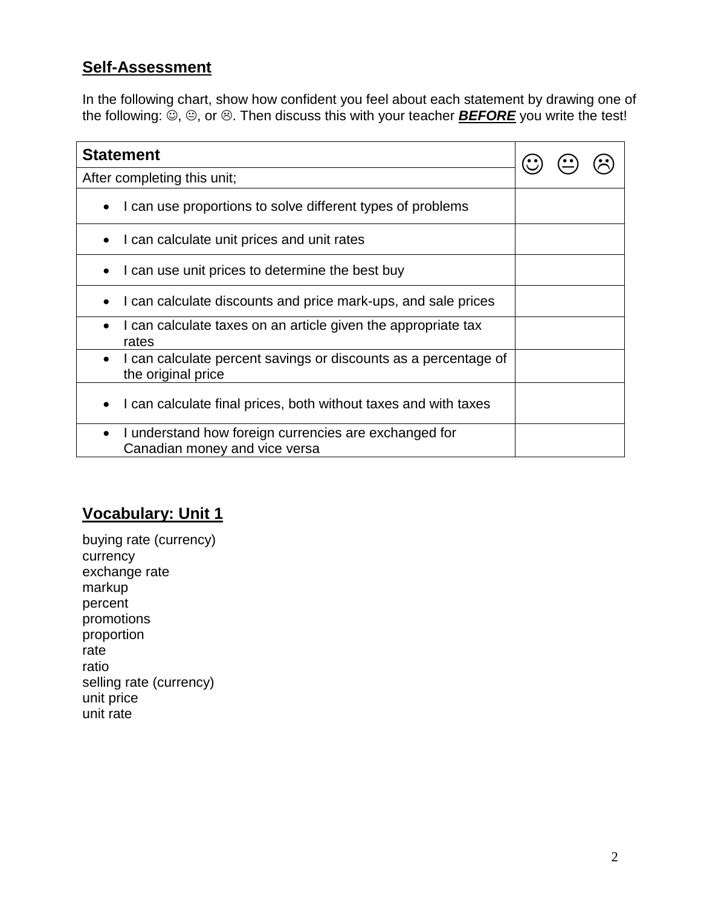#### **Self-Assessment**

In the following chart, show how confident you feel about each statement by drawing one of the following:  $\ddot{\odot}$ ,  $\odot$ , or  $\odot$ . Then discuss this with your teacher **BEFORE** you write the test!

| <b>Statement</b>                                                                                    |  |  |  |
|-----------------------------------------------------------------------------------------------------|--|--|--|
| After completing this unit;                                                                         |  |  |  |
| I can use proportions to solve different types of problems                                          |  |  |  |
| I can calculate unit prices and unit rates                                                          |  |  |  |
| I can use unit prices to determine the best buy                                                     |  |  |  |
| I can calculate discounts and price mark-ups, and sale prices                                       |  |  |  |
| I can calculate taxes on an article given the appropriate tax<br>rates                              |  |  |  |
| I can calculate percent savings or discounts as a percentage of<br>the original price               |  |  |  |
| I can calculate final prices, both without taxes and with taxes                                     |  |  |  |
| I understand how foreign currencies are exchanged for<br>$\bullet$<br>Canadian money and vice versa |  |  |  |

# **Vocabulary: Unit 1**

buying rate (currency) currency exchange rate markup percent promotions proportion rate ratio selling rate (currency) unit price unit rate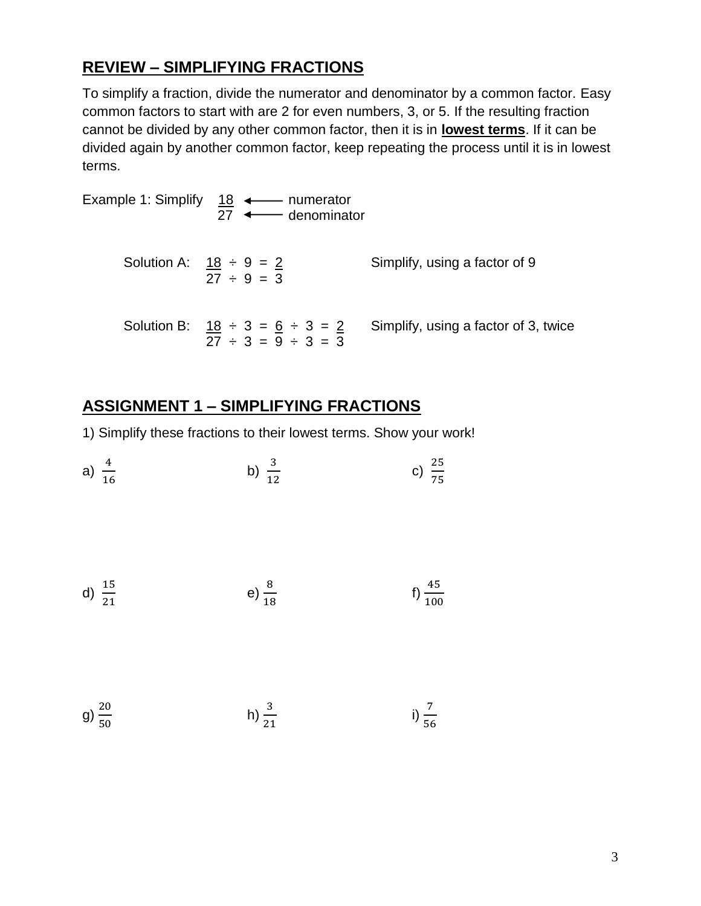#### **REVIEW – SIMPLIFYING FRACTIONS**

To simplify a fraction, divide the numerator and denominator by a common factor. Easy common factors to start with are 2 for even numbers, 3, or 5. If the resulting fraction cannot be divided by any other common factor, then it is in **lowest terms**. If it can be divided again by another common factor, keep repeating the process until it is in lowest terms.

Example 1: Simplify  $18 \leftarrow$  numerator 27 ← denominator Solution A:  $18 \div 9 = 2$  Simplify, using a factor of 9  $27 \div 9 = 3$ Solution B:  $18 \div 3 = 6 \div 3 = 2$  Simplify, using a factor of 3, twice  $27 \div 3 = 9 \div 3 = 3$ 

#### **ASSIGNMENT 1 – SIMPLIFYING FRACTIONS**

1) Simplify these fractions to their lowest terms. Show your work!

a) 
$$
\frac{4}{16}
$$
 b)  $\frac{3}{12}$  c)  $\frac{25}{75}$ 

d) 
$$
\frac{15}{21}
$$
 e)  $\frac{8}{18}$  f)  $\frac{45}{100}$ 

g)  $\frac{2}{5}$ h)  $\frac{3}{21}$ i)  $\frac{7}{56}$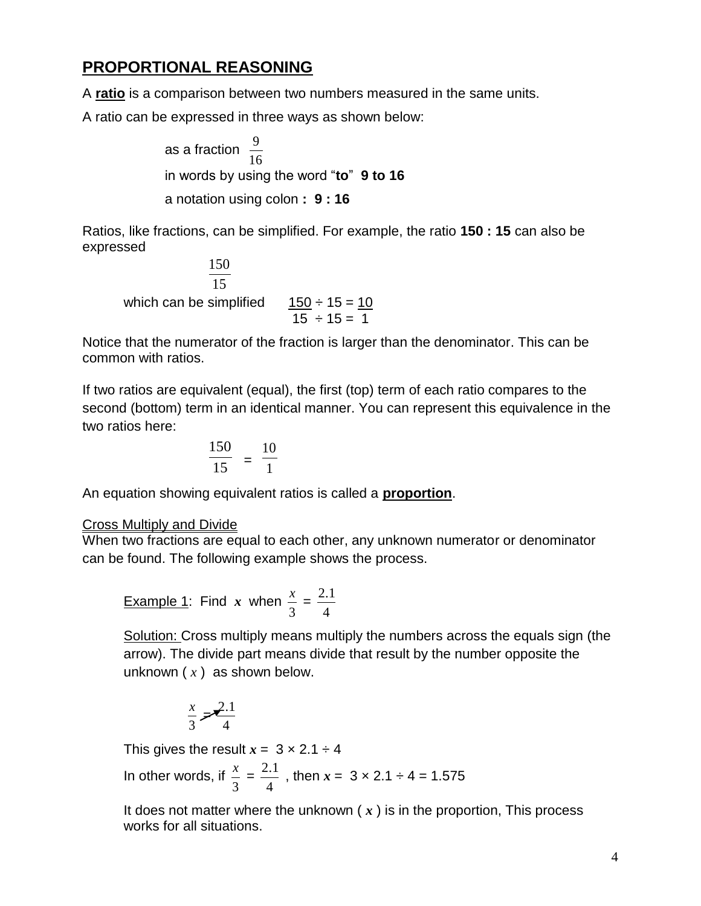### **PROPORTIONAL REASONING**

A **ratio** is a comparison between two numbers measured in the same units.

A ratio can be expressed in three ways as shown below:

as a fraction 16 9 in words by using the word "**to**" **9 to 16** a notation using colon **: 9 : 16**

Ratios, like fractions, can be simplified. For example, the ratio **150 : 15** can also be expressed

15 150 which can be simplified  $\frac{150 \div 15}{15 \div 15} = 10$ 

Notice that the numerator of the fraction is larger than the denominator. This can be common with ratios.

If two ratios are equivalent (equal), the first (top) term of each ratio compares to the second (bottom) term in an identical manner. You can represent this equivalence in the two ratios here:

$$
\frac{150}{15} = \frac{10}{1}
$$

An equation showing equivalent ratios is called a **proportion**.

#### Cross Multiply and Divide

When two fractions are equal to each other, any unknown numerator or denominator can be found. The following example shows the process.

Example 1: Find x when 
$$
\frac{x}{3} = \frac{2.1}{4}
$$

Solution: Cross multiply means multiply the numbers across the equals sign (the arrow). The divide part means divide that result by the number opposite the unknown ( *x* ) as shown below.

$$
\frac{x}{3} = \frac{2.1}{4}
$$

This gives the result  $x = 3 \times 2.1 \div 4$ 

In other words, if 3  $\frac{x}{2}$  = 4  $\frac{2.1}{1}$  , then  $x = 3 \times 2.1 \div 4 = 1.575$ 

It does not matter where the unknown ( *x* ) is in the proportion, This process works for all situations.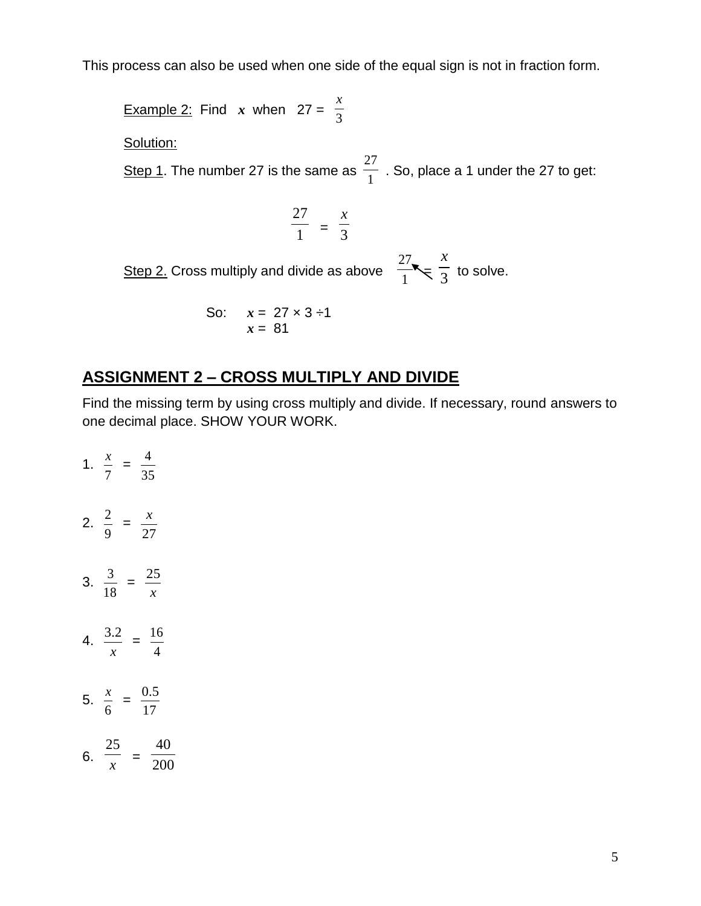This process can also be used when one side of the equal sign is not in fraction form.

**Example 2:** Find *x* when  $27 = \frac{4}{3}$ *x* Solution: Step 1. The number 27 is the same as  $\frac{1}{1}$ 27 . So, place a 1 under the 27 to get: 1 27  $=$   $\frac{1}{3}$ *x* <u>Step 2.</u> Cross multiply and divide as above  $\frac{1}{1}$ 27  $\leq \frac{1}{3}$ *x* to solve. So:  $x = 27 \times 3 \div 1$ 

#### **ASSIGNMENT 2 – CROSS MULTIPLY AND DIVIDE**

*x* = 81

Find the missing term by using cross multiply and divide. If necessary, round answers to one decimal place. SHOW YOUR WORK.

1. 7  $\frac{x}{x}$  = 35 4 2. 9  $\frac{2}{1}$  = 27 *x* 3. 18  $\frac{3}{2}$  = *x* 25 4. *x*  $\frac{3.2}{ } =$ 4 16 5. 6  $\frac{x}{x}$  = 17 0.5 6. *x* 25  $=$   $\frac{1}{200}$ 40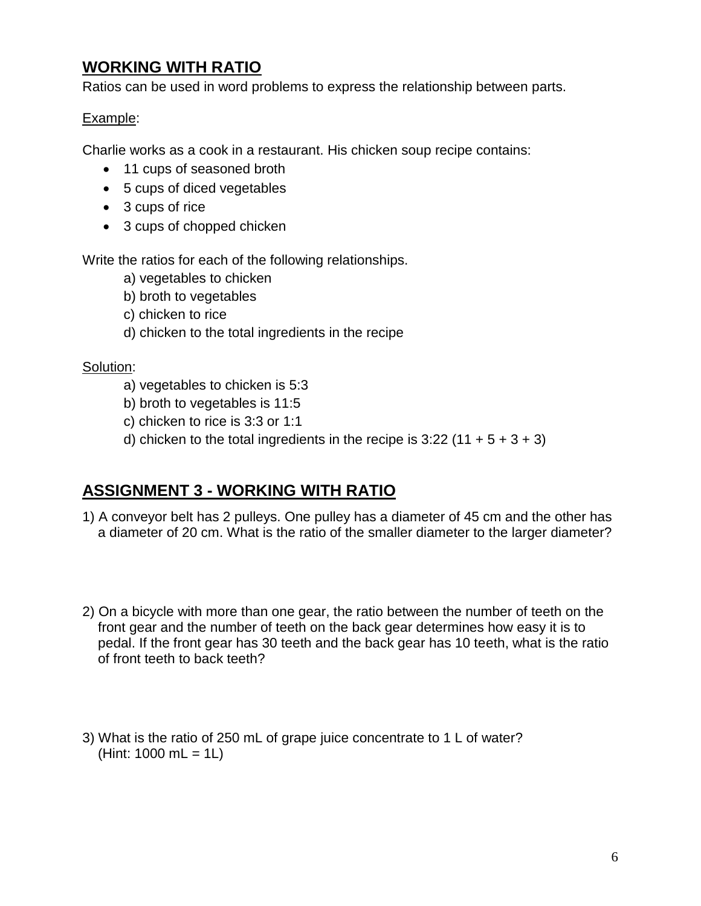# **WORKING WITH RATIO**

Ratios can be used in word problems to express the relationship between parts.

#### Example:

Charlie works as a cook in a restaurant. His chicken soup recipe contains:

- 11 cups of seasoned broth
- 5 cups of diced vegetables
- 3 cups of rice
- 3 cups of chopped chicken

Write the ratios for each of the following relationships.

- a) vegetables to chicken
- b) broth to vegetables
- c) chicken to rice
- d) chicken to the total ingredients in the recipe

#### Solution:

- a) vegetables to chicken is 5:3
- b) broth to vegetables is 11:5
- c) chicken to rice is 3:3 or 1:1
- d) chicken to the total ingredients in the recipe is  $3:22$  (11 + 5 + 3 + 3)

### **ASSIGNMENT 3 - WORKING WITH RATIO**

- 1) A conveyor belt has 2 pulleys. One pulley has a diameter of 45 cm and the other has a diameter of 20 cm. What is the ratio of the smaller diameter to the larger diameter?
- 2) On a bicycle with more than one gear, the ratio between the number of teeth on the front gear and the number of teeth on the back gear determines how easy it is to pedal. If the front gear has 30 teeth and the back gear has 10 teeth, what is the ratio of front teeth to back teeth?
- 3) What is the ratio of 250 mL of grape juice concentrate to 1 L of water? (Hint:  $1000 \text{ mL} = 1 \text{L}$ )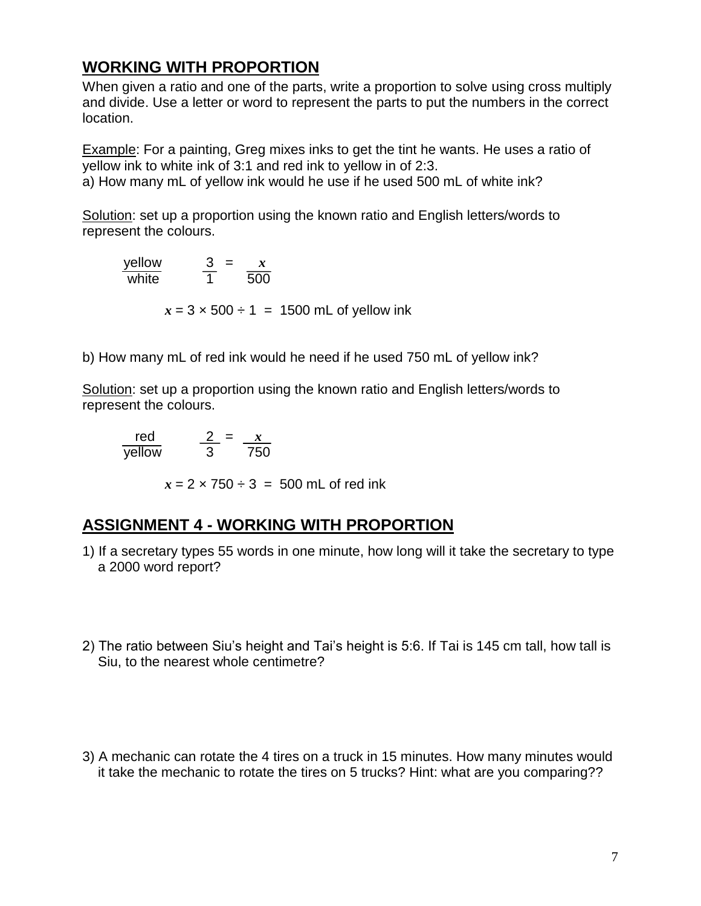#### **WORKING WITH PROPORTION**

When given a ratio and one of the parts, write a proportion to solve using cross multiply and divide. Use a letter or word to represent the parts to put the numbers in the correct location.

Example: For a painting, Greg mixes inks to get the tint he wants. He uses a ratio of yellow ink to white ink of 3:1 and red ink to yellow in of 2:3. a) How many mL of yellow ink would he use if he used 500 mL of white ink?

Solution: set up a proportion using the known ratio and English letters/words to represent the colours.

yellow  $3 = x$ white 1 500

 $x = 3 \times 500 \div 1 = 1500$  mL of yellow ink

b) How many mL of red ink would he need if he used 750 mL of yellow ink?

Solution: set up a proportion using the known ratio and English letters/words to represent the colours.

red  $2 = x$ yellow 3 750

 $x = 2 \times 750 \div 3 = 500$  mL of red ink

#### **ASSIGNMENT 4 - WORKING WITH PROPORTION**

- 1) If a secretary types 55 words in one minute, how long will it take the secretary to type a 2000 word report?
- 2) The ratio between Siu's height and Tai's height is 5:6. If Tai is 145 cm tall, how tall is Siu, to the nearest whole centimetre?
- 3) A mechanic can rotate the 4 tires on a truck in 15 minutes. How many minutes would it take the mechanic to rotate the tires on 5 trucks? Hint: what are you comparing??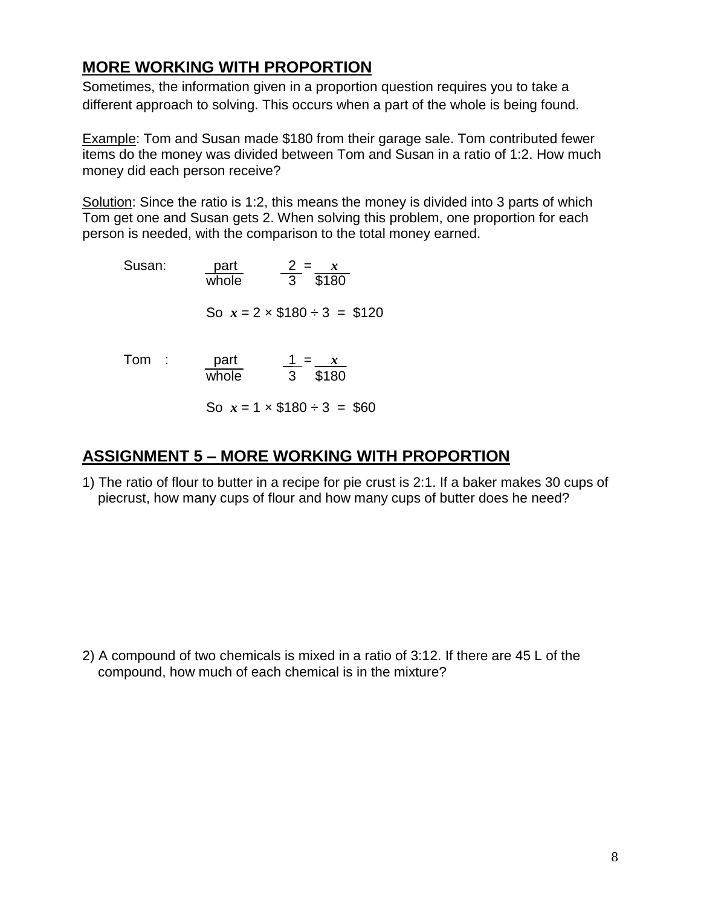### **MORE WORKING WITH PROPORTION**

Sometimes, the information given in a proportion question requires you to take a different approach to solving. This occurs when a part of the whole is being found.

Example: Tom and Susan made \$180 from their garage sale. Tom contributed fewer items do the money was divided between Tom and Susan in a ratio of 1:2. How much money did each person receive?

Solution: Since the ratio is 1:2, this means the money is divided into 3 parts of which Tom get one and Susan gets 2. When solving this problem, one proportion for each person is needed, with the comparison to the total money earned.

| Susan: | part<br>whole | $\frac{2}{3} = \frac{x}{180}$        |
|--------|---------------|--------------------------------------|
|        |               | So $x = 2 \times $180 \div 3 = $120$ |
| Tom    | part<br>whole | $\frac{1}{3} = \frac{x}{180}$        |
|        |               | So $x = 1 \times $180 \div 3 = $60$  |

#### **ASSIGNMENT 5 – MORE WORKING WITH PROPORTION**

1) The ratio of flour to butter in a recipe for pie crust is 2:1. If a baker makes 30 cups of piecrust, how many cups of flour and how many cups of butter does he need?

2) A compound of two chemicals is mixed in a ratio of 3:12. If there are 45 L of the compound, how much of each chemical is in the mixture?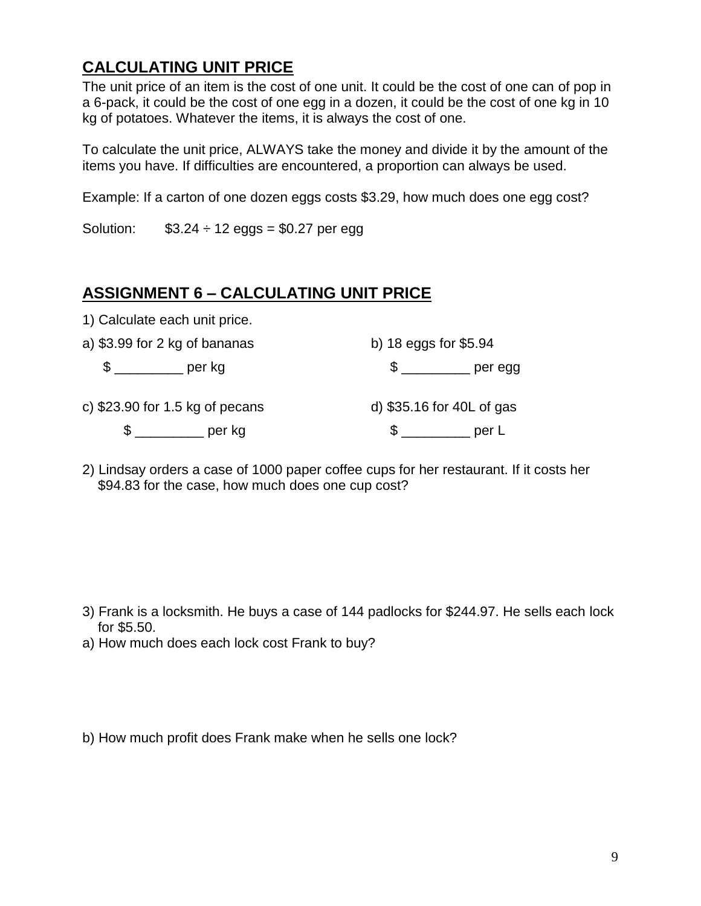# **CALCULATING UNIT PRICE**

The unit price of an item is the cost of one unit. It could be the cost of one can of pop in a 6-pack, it could be the cost of one egg in a dozen, it could be the cost of one kg in 10 kg of potatoes. Whatever the items, it is always the cost of one.

To calculate the unit price, ALWAYS take the money and divide it by the amount of the items you have. If difficulties are encountered, a proportion can always be used.

Example: If a carton of one dozen eggs costs \$3.29, how much does one egg cost?

Solution:  $$3.24 \div 12$  eggs = \$0.27 per egg

#### **ASSIGNMENT 6 – CALCULATING UNIT PRICE**

1) Calculate each unit price.

| a) \$3.99 for 2 kg of bananas |                                  | b) $18$ eggs for \$5.94   |         |
|-------------------------------|----------------------------------|---------------------------|---------|
| $\mathbb{S}$ and $\mathbb{S}$ | per kg                           |                           | per egg |
|                               | c) $$23.90$ for 1.5 kg of pecans | d) \$35.16 for 40L of gas |         |
|                               | per kg                           |                           | per L   |

2) Lindsay orders a case of 1000 paper coffee cups for her restaurant. If it costs her \$94.83 for the case, how much does one cup cost?

- 3) Frank is a locksmith. He buys a case of 144 padlocks for \$244.97. He sells each lock for \$5.50.
- a) How much does each lock cost Frank to buy?
- b) How much profit does Frank make when he sells one lock?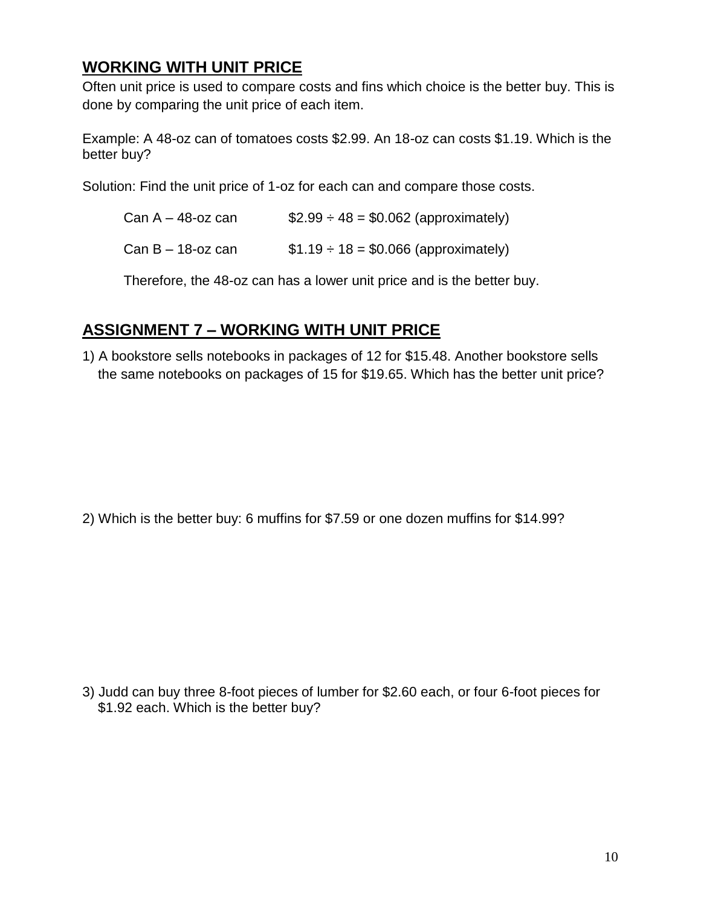# **WORKING WITH UNIT PRICE**

Often unit price is used to compare costs and fins which choice is the better buy. This is done by comparing the unit price of each item.

Example: A 48-oz can of tomatoes costs \$2.99. An 18-oz can costs \$1.19. Which is the better buy?

Solution: Find the unit price of 1-oz for each can and compare those costs.

| Can $A - 48$ -oz can | $$2.99 \div 48 = $0.062$ (approximately) |
|----------------------|------------------------------------------|
| Can $B - 18$ -oz can | $$1.19 \div 18 = $0.066$ (approximately) |

Therefore, the 48-oz can has a lower unit price and is the better buy.

# **ASSIGNMENT 7 – WORKING WITH UNIT PRICE**

1) A bookstore sells notebooks in packages of 12 for \$15.48. Another bookstore sells the same notebooks on packages of 15 for \$19.65. Which has the better unit price?

2) Which is the better buy: 6 muffins for \$7.59 or one dozen muffins for \$14.99?

3) Judd can buy three 8-foot pieces of lumber for \$2.60 each, or four 6-foot pieces for \$1.92 each. Which is the better buy?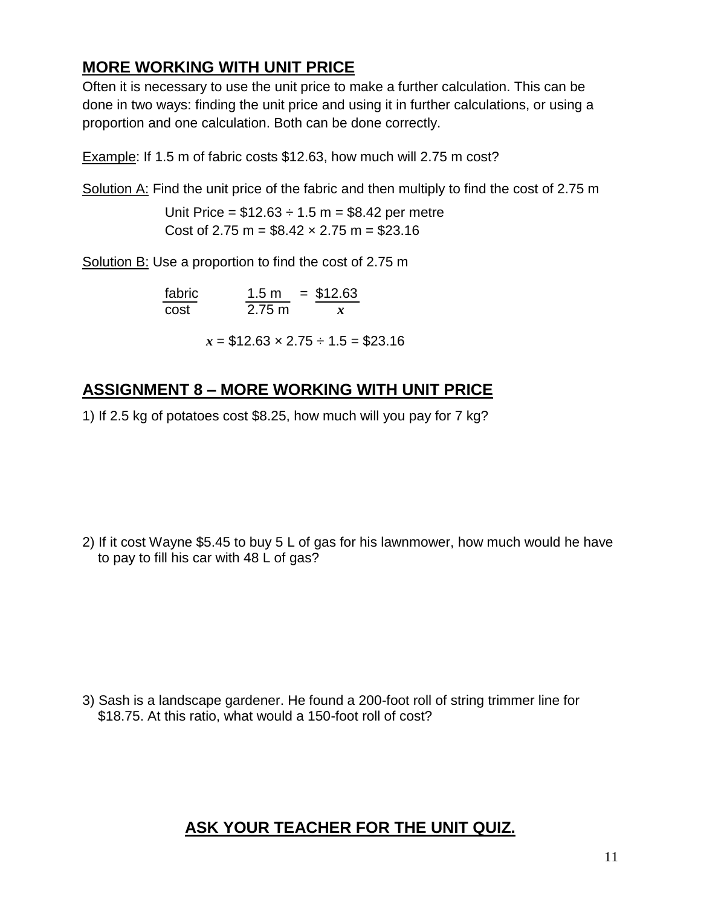# **MORE WORKING WITH UNIT PRICE**

Often it is necessary to use the unit price to make a further calculation. This can be done in two ways: finding the unit price and using it in further calculations, or using a proportion and one calculation. Both can be done correctly.

Example: If 1.5 m of fabric costs \$12.63, how much will 2.75 m cost?

Solution A: Find the unit price of the fabric and then multiply to find the cost of 2.75 m

Unit Price =  $$12.63 \div 1.5 \text{ m} = $8.42 \text{ per metre}$ Cost of 2.75 m =  $$8.42 \times 2.75$  m =  $$23.16$ 

Solution B: Use a proportion to find the cost of 2.75 m

| fabric | 1.5 <sub>m</sub> | $=$ \$12.63 |
|--------|------------------|-------------|
| cost   | $2.75 \text{ m}$ |             |

 $x = $12.63 \times 2.75 \div 1.5 = $23.16$ 

### **ASSIGNMENT 8 – MORE WORKING WITH UNIT PRICE**

1) If 2.5 kg of potatoes cost \$8.25, how much will you pay for 7 kg?

2) If it cost Wayne \$5.45 to buy 5 L of gas for his lawnmower, how much would he have to pay to fill his car with 48 L of gas?

3) Sash is a landscape gardener. He found a 200-foot roll of string trimmer line for \$18.75. At this ratio, what would a 150-foot roll of cost?

### **ASK YOUR TEACHER FOR THE UNIT QUIZ.**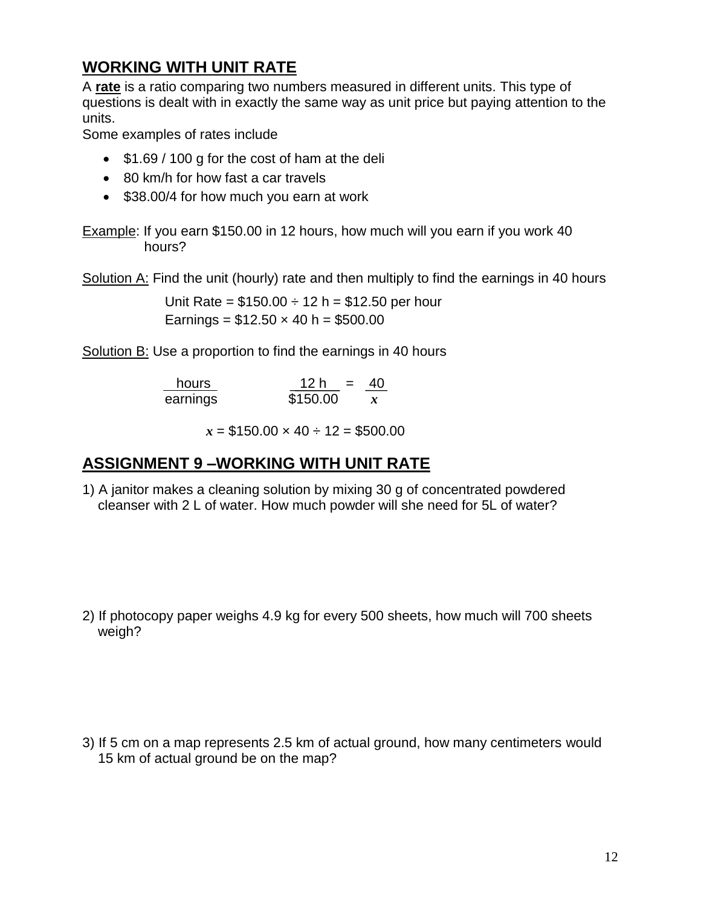# **WORKING WITH UNIT RATE**

A **rate** is a ratio comparing two numbers measured in different units. This type of questions is dealt with in exactly the same way as unit price but paying attention to the units.

Some examples of rates include

- \$1.69 / 100 g for the cost of ham at the deli
- 80 km/h for how fast a car travels
- \$38.00/4 for how much you earn at work

Example: If you earn \$150.00 in 12 hours, how much will you earn if you work 40 hours?

Solution A: Find the unit (hourly) rate and then multiply to find the earnings in 40 hours

Unit Rate =  $$150.00 \div 12 h = $12.50$  per hour Earnings =  $$12.50 \times 40 \text{ h} = $500.00$ 

Solution B: Use a proportion to find the earnings in 40 hours

| hours    | 12 h<br>$\mathbf{r} = \mathbf{r}$ | 40               |
|----------|-----------------------------------|------------------|
| earnings | \$150.00                          | $\boldsymbol{x}$ |

 $x = $150.00 \times 40 \div 12 = $500.00$ 

### **ASSIGNMENT 9 –WORKING WITH UNIT RATE**

1) A janitor makes a cleaning solution by mixing 30 g of concentrated powdered cleanser with 2 L of water. How much powder will she need for 5L of water?

2) If photocopy paper weighs 4.9 kg for every 500 sheets, how much will 700 sheets weigh?

3) If 5 cm on a map represents 2.5 km of actual ground, how many centimeters would 15 km of actual ground be on the map?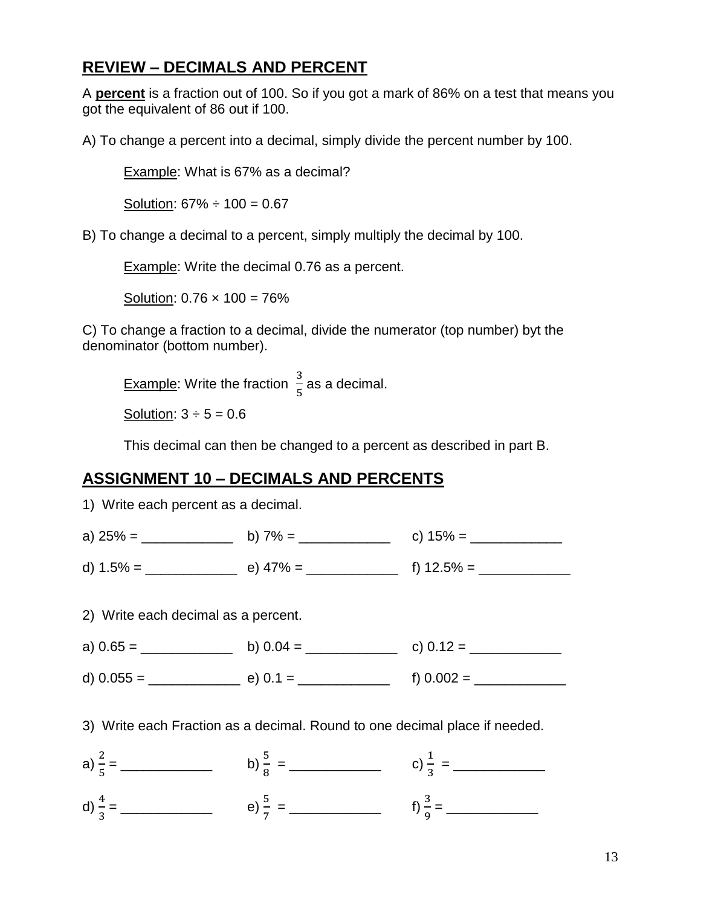#### **REVIEW – DECIMALS AND PERCENT**

A **percent** is a fraction out of 100. So if you got a mark of 86% on a test that means you got the equivalent of 86 out if 100.

A) To change a percent into a decimal, simply divide the percent number by 100.

Example: What is 67% as a decimal?

Solution:  $67\% \div 100 = 0.67$ 

B) To change a decimal to a percent, simply multiply the decimal by 100.

Example: Write the decimal 0.76 as a percent.

Solution:  $0.76 \times 100 = 76\%$ 

C) To change a fraction to a decimal, divide the numerator (top number) byt the denominator (bottom number).

**Example:** Write the fraction  $\frac{2}{5}$  as a decimal.

Solution:  $3 \div 5 = 0.6$ 

This decimal can then be changed to a percent as described in part B.

#### **ASSIGNMENT 10 – DECIMALS AND PERCENTS**

1) Write each percent as a decimal. a) 25% = \_\_\_\_\_\_\_\_\_\_\_\_ b) 7% = \_\_\_\_\_\_\_\_\_\_\_\_ c) 15% = \_\_\_\_\_\_\_\_\_\_\_\_

d)  $1.5\% =$  e)  $47\% =$  f)  $12.5\% =$ 

2) Write each decimal as a percent.



- d) 0.055 = \_\_\_\_\_\_\_\_\_\_\_\_ e) 0.1 = \_\_\_\_\_\_\_\_\_\_\_\_ f) 0.002 = \_\_\_\_\_\_\_\_\_\_\_\_
- 3) Write each Fraction as a decimal. Round to one decimal place if needed.

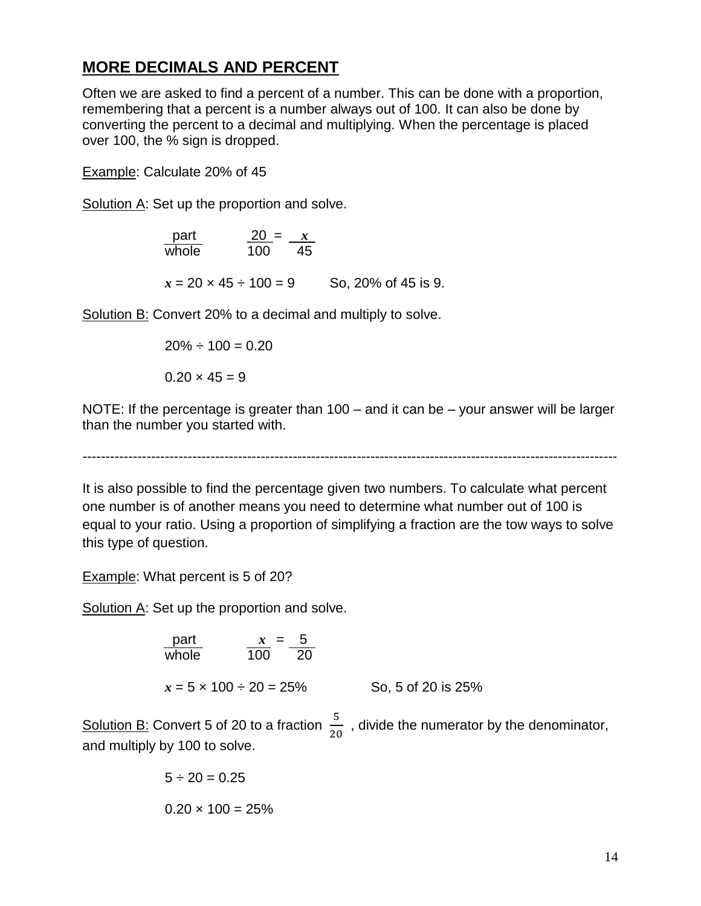#### **MORE DECIMALS AND PERCENT**

Often we are asked to find a percent of a number. This can be done with a proportion, remembering that a percent is a number always out of 100. It can also be done by converting the percent to a decimal and multiplying. When the percentage is placed over 100, the % sign is dropped.

Example: Calculate 20% of 45

Solution A: Set up the proportion and solve.

| part                            | $20 = x$ |    |                     |
|---------------------------------|----------|----|---------------------|
| whole                           | 100.     | 45 |                     |
|                                 |          |    |                     |
| $x = 20 \times 45 \div 100 = 9$ |          |    | So, 20% of 45 is 9. |

Solution B: Convert 20% to a decimal and multiply to solve.

$$
20\% \div 100 = 0.20
$$

 $0.20 \times 45 = 9$ 

NOTE: If the percentage is greater than 100 – and it can be – your answer will be larger than the number you started with.

---------------------------------------------------------------------------------------------------------------------

It is also possible to find the percentage given two numbers. To calculate what percent one number is of another means you need to determine what number out of 100 is equal to your ratio. Using a proportion of simplifying a fraction are the tow ways to solve this type of question.

Example: What percent is 5 of 20?

Solution A: Set up the proportion and solve.

| part                              | $x = 5$                        |
|-----------------------------------|--------------------------------|
| whole                             | $\frac{x}{100} = \frac{5}{20}$ |
| $x = 5 \times 100 \div 20 = 25\%$ | So, 5 of 20 is 25%             |

Solution B: Convert 5 of 20 to a fraction  $\frac{3}{20}$ , divide the numerator by the denominator, and multiply by 100 to solve.

$$
5 \div 20 = 0.25
$$
  
0.20 x 100 = 25%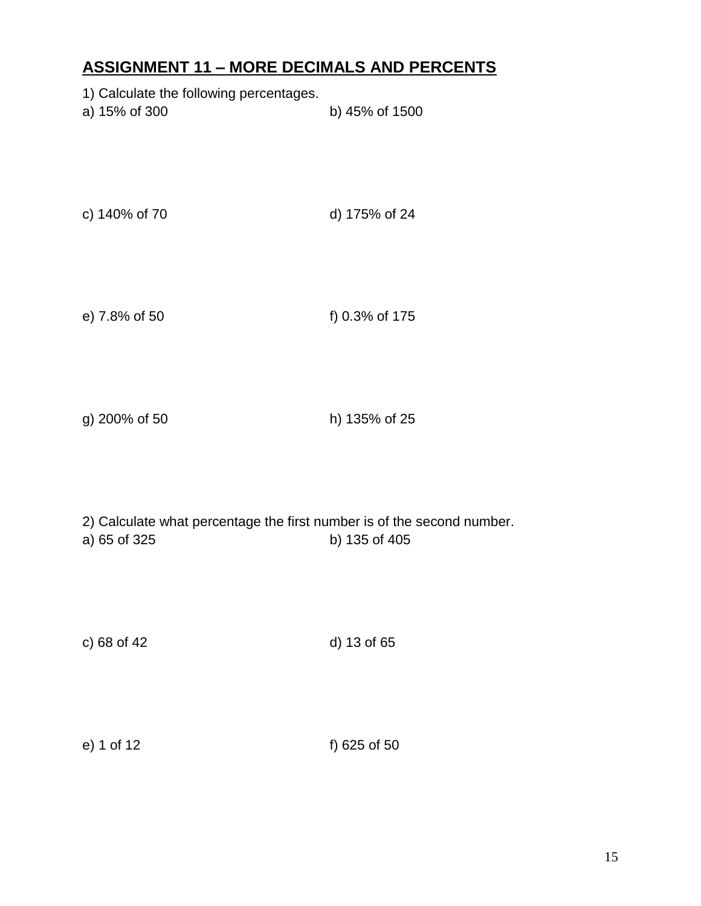# **ASSIGNMENT 11 – MORE DECIMALS AND PERCENTS**

| 1) Calculate the following percentages.<br>a) 15% of 300                               | b) 45% of 1500 |
|----------------------------------------------------------------------------------------|----------------|
| c) 140% of 70                                                                          | d) 175% of 24  |
| e) 7.8% of 50                                                                          | f) 0.3% of 175 |
| g) 200% of 50                                                                          | h) 135% of 25  |
| 2) Calculate what percentage the first number is of the second number.<br>a) 65 of 325 | b) 135 of 405  |

c) 68 of 42 d) 13 of 65

|  | e) 1 of 12 | f) 625 of 50 |
|--|------------|--------------|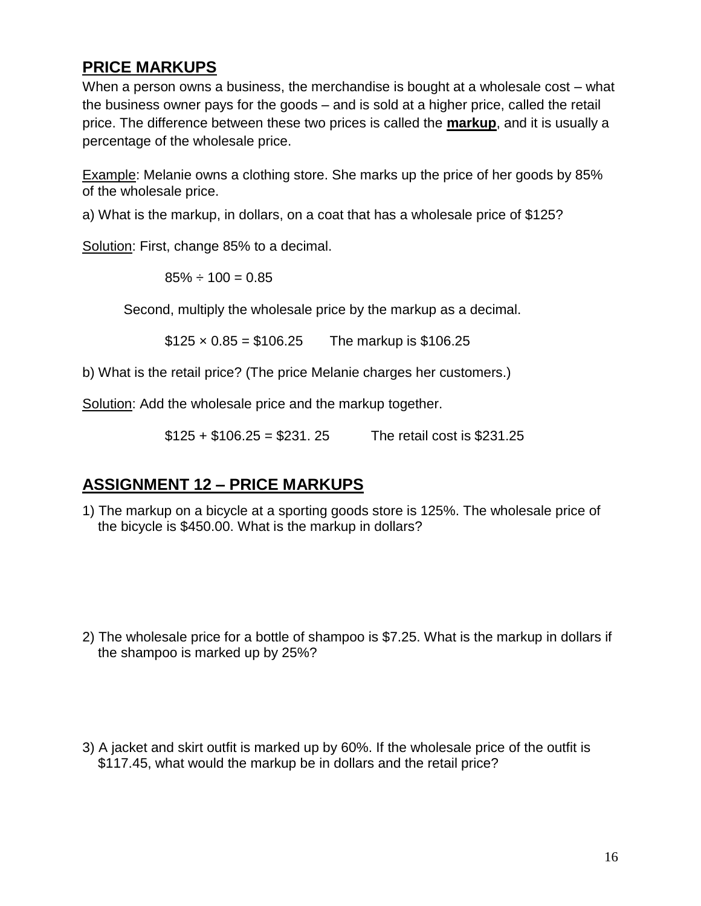### **PRICE MARKUPS**

When a person owns a business, the merchandise is bought at a wholesale cost – what the business owner pays for the goods – and is sold at a higher price, called the retail price. The difference between these two prices is called the **markup**, and it is usually a percentage of the wholesale price.

Example: Melanie owns a clothing store. She marks up the price of her goods by 85% of the wholesale price.

a) What is the markup, in dollars, on a coat that has a wholesale price of \$125?

Solution: First, change 85% to a decimal.

 $85\% \div 100 = 0.85$ 

Second, multiply the wholesale price by the markup as a decimal.

 $$125 \times 0.85 = $106.25$  The markup is \$106.25

b) What is the retail price? (The price Melanie charges her customers.)

Solution: Add the wholesale price and the markup together.

 $$125 + $106.25 = $231.25$  The retail cost is \$231.25

### **ASSIGNMENT 12 – PRICE MARKUPS**

1) The markup on a bicycle at a sporting goods store is 125%. The wholesale price of the bicycle is \$450.00. What is the markup in dollars?

- 2) The wholesale price for a bottle of shampoo is \$7.25. What is the markup in dollars if the shampoo is marked up by 25%?
- 3) A jacket and skirt outfit is marked up by 60%. If the wholesale price of the outfit is \$117.45, what would the markup be in dollars and the retail price?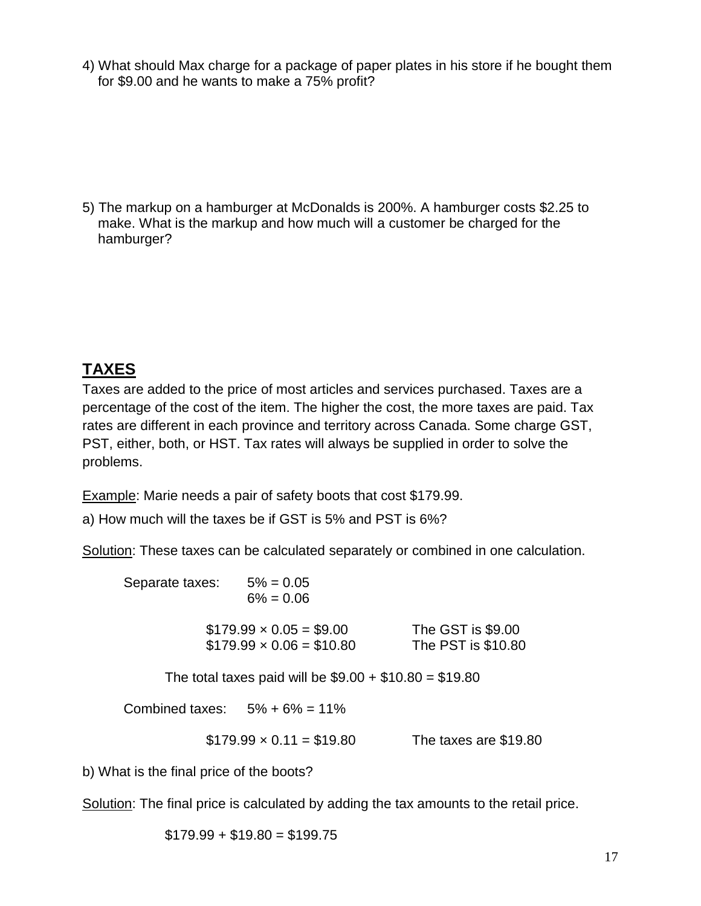4) What should Max charge for a package of paper plates in his store if he bought them for \$9.00 and he wants to make a 75% profit?

5) The markup on a hamburger at McDonalds is 200%. A hamburger costs \$2.25 to make. What is the markup and how much will a customer be charged for the hamburger?

# **TAXES**

Taxes are added to the price of most articles and services purchased. Taxes are a percentage of the cost of the item. The higher the cost, the more taxes are paid. Tax rates are different in each province and territory across Canada. Some charge GST, PST, either, both, or HST. Tax rates will always be supplied in order to solve the problems.

Example: Marie needs a pair of safety boots that cost \$179.99.

a) How much will the taxes be if GST is 5% and PST is 6%?

Solution: These taxes can be calculated separately or combined in one calculation.

| Separate taxes: | $5\% = 0.05$<br>$6\% = 0.06$                                    |                                         |
|-----------------|-----------------------------------------------------------------|-----------------------------------------|
|                 | $$179.99 \times 0.05 = $9.00$<br>$$179.99 \times 0.06 = $10.80$ | The GST is \$9.00<br>The PST is \$10.80 |
|                 | The total taxes paid will be $$9.00 + $10.80 = $19.80$          |                                         |
|                 | Combined taxes: $5\% + 6\% = 11\%$                              |                                         |
|                 | $$179.99 \times 0.11 = $19.80$                                  | The taxes are \$19.80                   |

b) What is the final price of the boots?

Solution: The final price is calculated by adding the tax amounts to the retail price.

 $$179.99 + $19.80 = $199.75$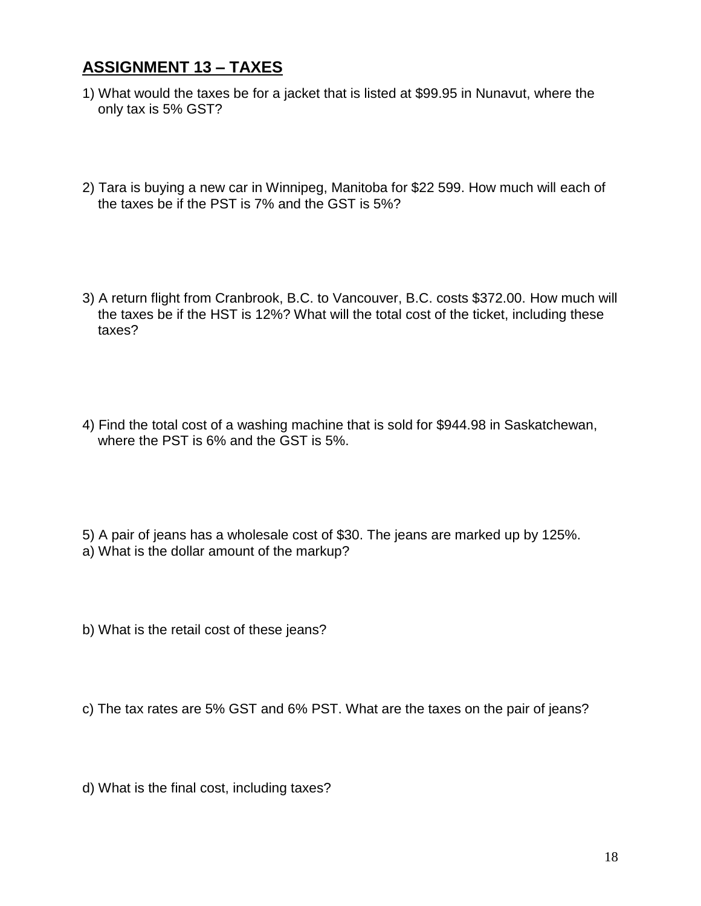### **ASSIGNMENT 13 – TAXES**

- 1) What would the taxes be for a jacket that is listed at \$99.95 in Nunavut, where the only tax is 5% GST?
- 2) Tara is buying a new car in Winnipeg, Manitoba for \$22 599. How much will each of the taxes be if the PST is 7% and the GST is 5%?
- 3) A return flight from Cranbrook, B.C. to Vancouver, B.C. costs \$372.00. How much will the taxes be if the HST is 12%? What will the total cost of the ticket, including these taxes?
- 4) Find the total cost of a washing machine that is sold for \$944.98 in Saskatchewan, where the PST is 6% and the GST is 5%.
- 5) A pair of jeans has a wholesale cost of \$30. The jeans are marked up by 125%. a) What is the dollar amount of the markup?
- b) What is the retail cost of these jeans?
- c) The tax rates are 5% GST and 6% PST. What are the taxes on the pair of jeans?
- d) What is the final cost, including taxes?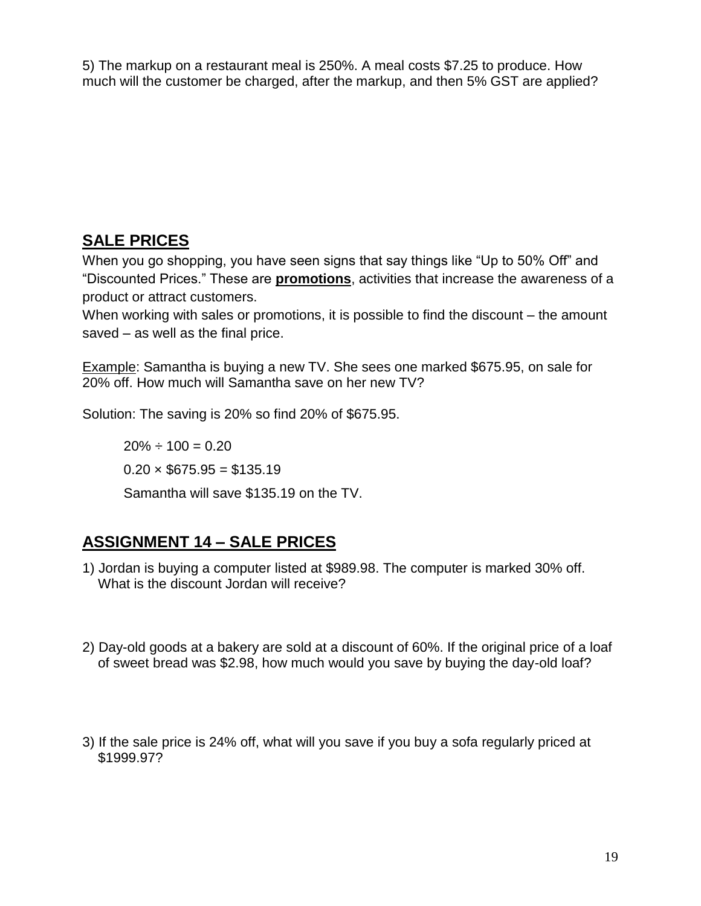5) The markup on a restaurant meal is 250%. A meal costs \$7.25 to produce. How much will the customer be charged, after the markup, and then 5% GST are applied?

### **SALE PRICES**

When you go shopping, you have seen signs that say things like "Up to 50% Off" and "Discounted Prices." These are **promotions**, activities that increase the awareness of a product or attract customers.

When working with sales or promotions, it is possible to find the discount – the amount saved – as well as the final price.

Example: Samantha is buying a new TV. She sees one marked \$675.95, on sale for 20% off. How much will Samantha save on her new TV?

Solution: The saving is 20% so find 20% of \$675.95.

 $20\% \div 100 = 0.20$  $0.20 \times $675.95 = $135.19$ Samantha will save \$135.19 on the TV.

# **ASSIGNMENT 14 – SALE PRICES**

- 1) Jordan is buying a computer listed at \$989.98. The computer is marked 30% off. What is the discount Jordan will receive?
- 2) Day-old goods at a bakery are sold at a discount of 60%. If the original price of a loaf of sweet bread was \$2.98, how much would you save by buying the day-old loaf?
- 3) If the sale price is 24% off, what will you save if you buy a sofa regularly priced at \$1999.97?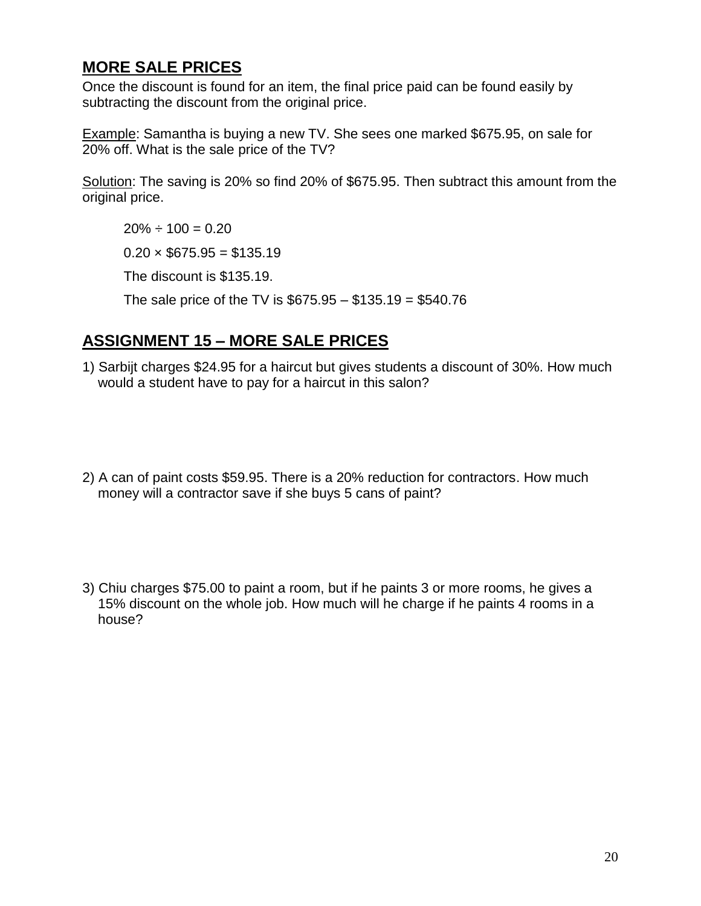#### **MORE SALE PRICES**

Once the discount is found for an item, the final price paid can be found easily by subtracting the discount from the original price.

Example: Samantha is buying a new TV. She sees one marked \$675.95, on sale for 20% off. What is the sale price of the TV?

Solution: The saving is 20% so find 20% of \$675.95. Then subtract this amount from the original price.

 $20\% \div 100 = 0.20$ 

 $0.20 \times$  \$675.95 = \$135.19

The discount is \$135.19.

The sale price of the TV is  $$675.95 - $135.19 = $540.76$ 

# **ASSIGNMENT 15 – MORE SALE PRICES**

- 1) Sarbijt charges \$24.95 for a haircut but gives students a discount of 30%. How much would a student have to pay for a haircut in this salon?
- 2) A can of paint costs \$59.95. There is a 20% reduction for contractors. How much money will a contractor save if she buys 5 cans of paint?
- 3) Chiu charges \$75.00 to paint a room, but if he paints 3 or more rooms, he gives a 15% discount on the whole job. How much will he charge if he paints 4 rooms in a house?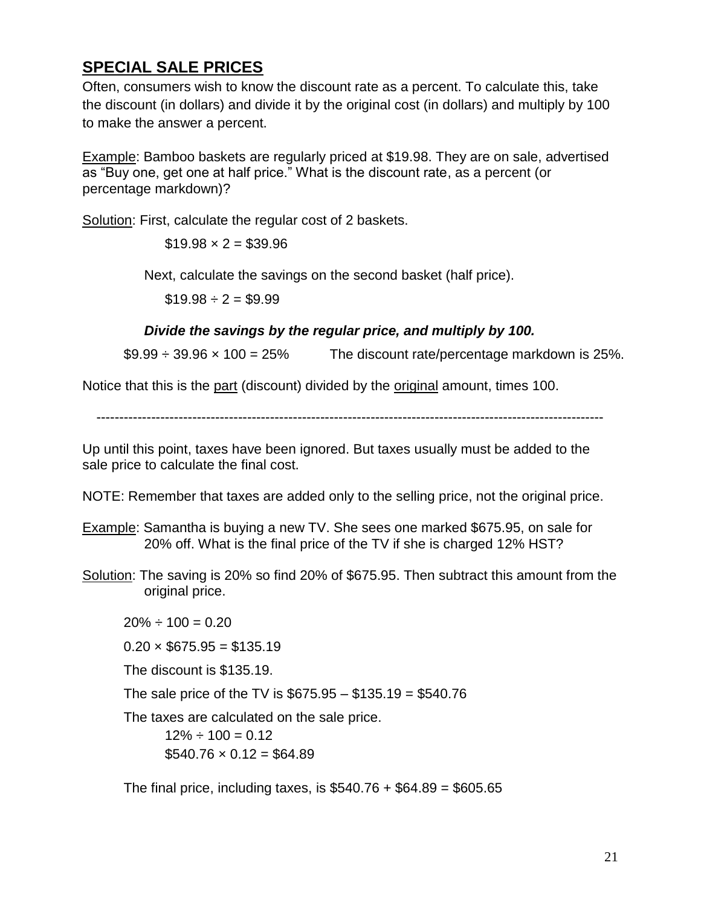### **SPECIAL SALE PRICES**

Often, consumers wish to know the discount rate as a percent. To calculate this, take the discount (in dollars) and divide it by the original cost (in dollars) and multiply by 100 to make the answer a percent.

Example: Bamboo baskets are regularly priced at \$19.98. They are on sale, advertised as "Buy one, get one at half price." What is the discount rate, as a percent (or percentage markdown)?

Solution: First, calculate the regular cost of 2 baskets.

 $$19.98 \times 2 = $39.96$ 

Next, calculate the savings on the second basket (half price).

 $$19.98 \div 2 = $9.99$ 

#### *Divide the savings by the regular price, and multiply by 100.*

 $$9.99 \div 39.96 \times 100 = 25\%$  The discount rate/percentage markdown is 25%.

Notice that this is the part (discount) divided by the original amount, times 100.

---------------------------------------------------------------------------------------------------------------

Up until this point, taxes have been ignored. But taxes usually must be added to the sale price to calculate the final cost.

NOTE: Remember that taxes are added only to the selling price, not the original price.

- Example: Samantha is buying a new TV. She sees one marked \$675.95, on sale for 20% off. What is the final price of the TV if she is charged 12% HST?
- Solution: The saving is 20% so find 20% of \$675.95. Then subtract this amount from the original price.

 $20\% \div 100 = 0.20$ 

 $0.20 \times $675.95 = $135.19$ 

The discount is \$135.19.

The sale price of the TV is \$675.95 – \$135.19 = \$540.76

The taxes are calculated on the sale price.

 $12\% \div 100 = 0.12$  $$540.76 \times 0.12 = $64.89$ 

The final price, including taxes, is  $$540.76 + $64.89 = $605.65$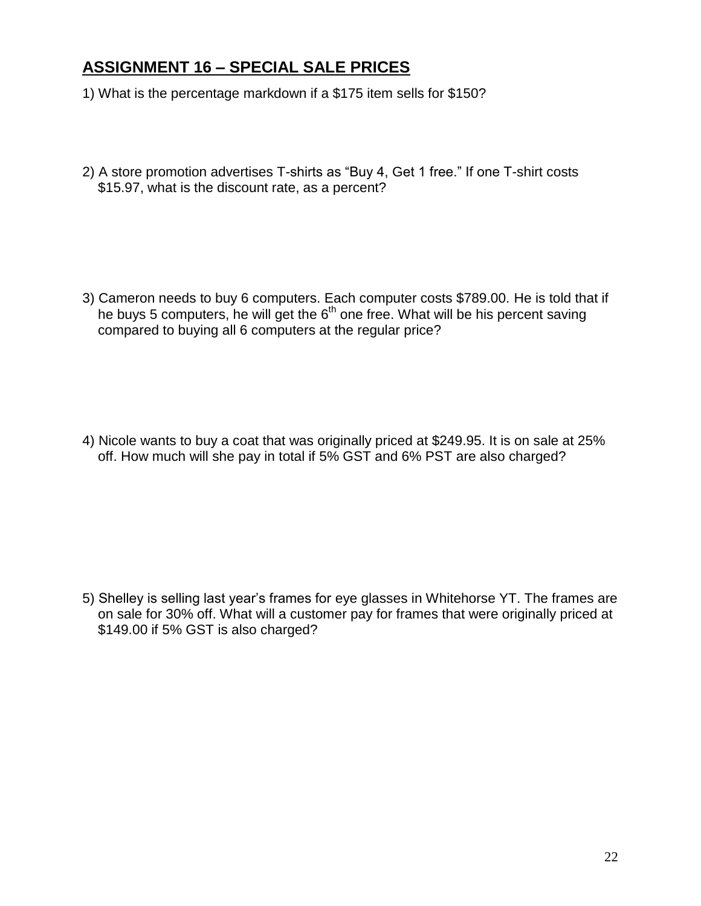#### **ASSIGNMENT 16 – SPECIAL SALE PRICES**

- 1) What is the percentage markdown if a \$175 item sells for \$150?
- 2) A store promotion advertises T-shirts as "Buy 4, Get 1 free." If one T-shirt costs \$15.97, what is the discount rate, as a percent?

3) Cameron needs to buy 6 computers. Each computer costs \$789.00. He is told that if he buys 5 computers, he will get the  $6<sup>th</sup>$  one free. What will be his percent saving compared to buying all 6 computers at the regular price?

4) Nicole wants to buy a coat that was originally priced at \$249.95. It is on sale at 25% off. How much will she pay in total if 5% GST and 6% PST are also charged?

5) Shelley is selling last year's frames for eye glasses in Whitehorse YT. The frames are on sale for 30% off. What will a customer pay for frames that were originally priced at \$149.00 if 5% GST is also charged?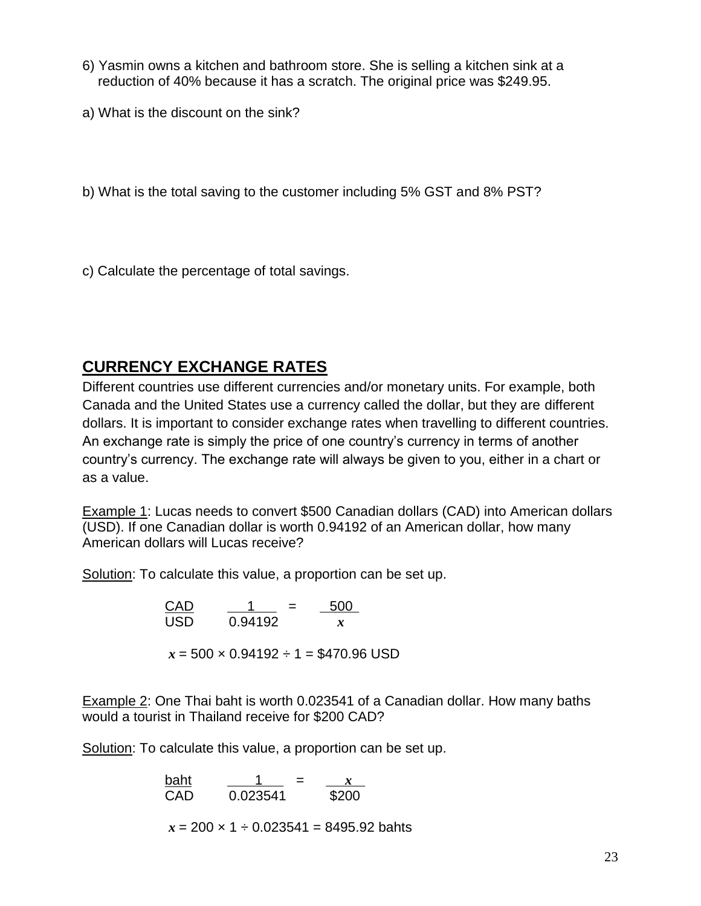- 6) Yasmin owns a kitchen and bathroom store. She is selling a kitchen sink at a reduction of 40% because it has a scratch. The original price was \$249.95.
- a) What is the discount on the sink?

b) What is the total saving to the customer including 5% GST and 8% PST?

c) Calculate the percentage of total savings.

# **CURRENCY EXCHANGE RATES**

Different countries use different currencies and/or monetary units. For example, both Canada and the United States use a currency called the dollar, but they are different dollars. It is important to consider exchange rates when travelling to different countries. An exchange rate is simply the price of one country's currency in terms of another country's currency. The exchange rate will always be given to you, either in a chart or as a value.

Example 1: Lucas needs to convert \$500 Canadian dollars (CAD) into American dollars (USD). If one Canadian dollar is worth 0.94192 of an American dollar, how many American dollars will Lucas receive?

Solution: To calculate this value, a proportion can be set up.

 $500$  $\overline{USD}$   $\overline{0.94192}$   $\overline{x}$  $x = 500 \times 0.94192 \div 1 = $470.96 \text{ USD}$ 

Example 2: One Thai baht is worth 0.023541 of a Canadian dollar. How many baths would a tourist in Thailand receive for \$200 CAD?

Solution: To calculate this value, a proportion can be set up.

baht  $\frac{1}{x} = x$ CAD 0.023541 \$200

 $x = 200 \times 1 \div 0.023541 = 8495.92$  bahts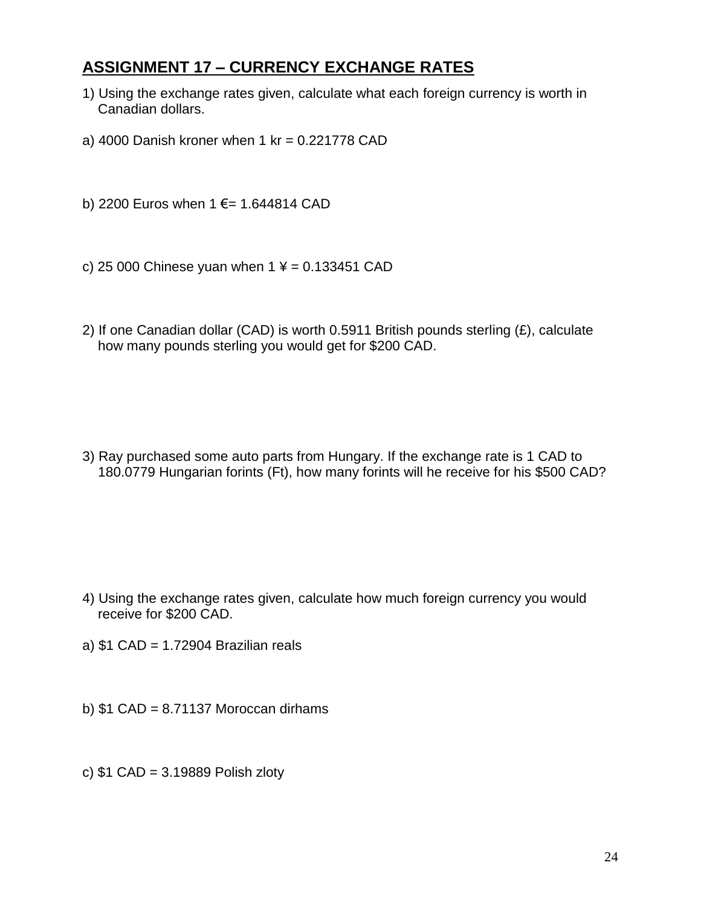### **ASSIGNMENT 17 – CURRENCY EXCHANGE RATES**

- 1) Using the exchange rates given, calculate what each foreign currency is worth in Canadian dollars.
- a) 4000 Danish kroner when  $1 \text{ kr} = 0.221778 \text{ CAD}$

b) 2200 Euros when 1 €= 1.644814 CAD

- c) 25 000 Chinese yuan when  $1 \times = 0.133451$  CAD
- 2) If one Canadian dollar (CAD) is worth 0.5911 British pounds sterling (£), calculate how many pounds sterling you would get for \$200 CAD.

3) Ray purchased some auto parts from Hungary. If the exchange rate is 1 CAD to 180.0779 Hungarian forints (Ft), how many forints will he receive for his \$500 CAD?

- 4) Using the exchange rates given, calculate how much foreign currency you would receive for \$200 CAD.
- a) \$1 CAD = 1.72904 Brazilian reals
- b)  $$1$  CAD = 8.71137 Moroccan dirhams
- c) \$1 CAD = 3.19889 Polish zloty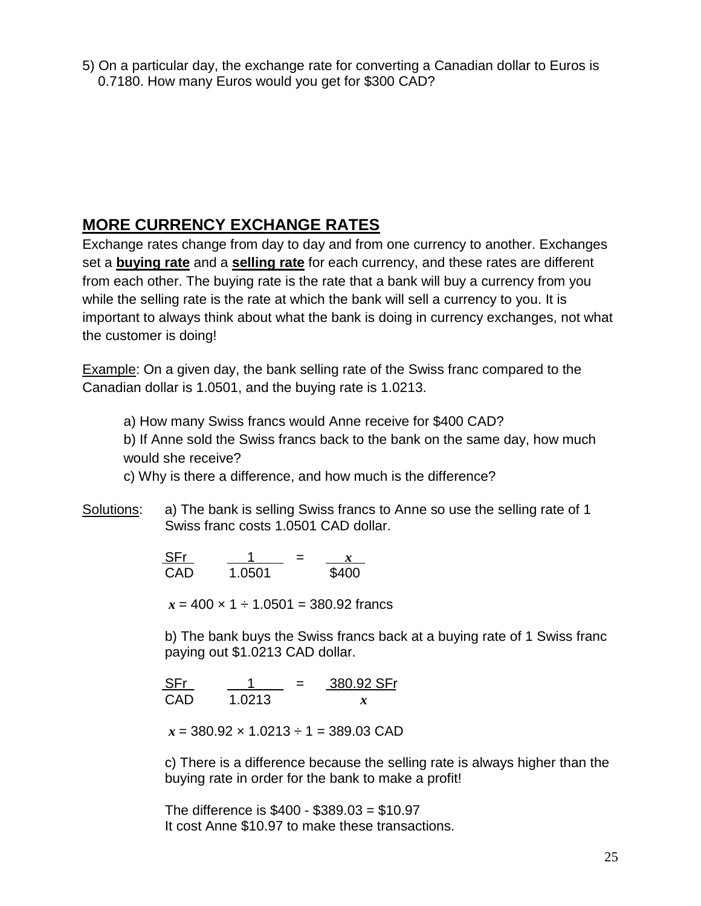5) On a particular day, the exchange rate for converting a Canadian dollar to Euros is 0.7180. How many Euros would you get for \$300 CAD?

### **MORE CURRENCY EXCHANGE RATES**

Exchange rates change from day to day and from one currency to another. Exchanges set a **buying rate** and a **selling rate** for each currency, and these rates are different from each other. The buying rate is the rate that a bank will buy a currency from you while the selling rate is the rate at which the bank will sell a currency to you. It is important to always think about what the bank is doing in currency exchanges, not what the customer is doing!

Example: On a given day, the bank selling rate of the Swiss franc compared to the Canadian dollar is 1.0501, and the buying rate is 1.0213.

a) How many Swiss francs would Anne receive for \$400 CAD?

b) If Anne sold the Swiss francs back to the bank on the same day, how much would she receive?

c) Why is there a difference, and how much is the difference?

Solutions: a) The bank is selling Swiss francs to Anne so use the selling rate of 1 Swiss franc costs 1.0501 CAD dollar.

> $\frac{\text{SFr}}{\text{CAD}}$   $\frac{1}{1.0501}$  =  $\frac{x}{\$400}$ CAD 1.0501

 $x = 400 \times 1 \div 1.0501 = 380.92$  francs

b) The bank buys the Swiss francs back at a buying rate of 1 Swiss franc paying out \$1.0213 CAD dollar.

 $SFr$   $1$   $=$   $380.92 SFr$ CAD 1.0213 *x*

*x* = 380.92 × 1.0213 ÷ 1 = 389.03 CAD

c) There is a difference because the selling rate is always higher than the buying rate in order for the bank to make a profit!

The difference is \$400 - \$389.03 = \$10.97 It cost Anne \$10.97 to make these transactions.